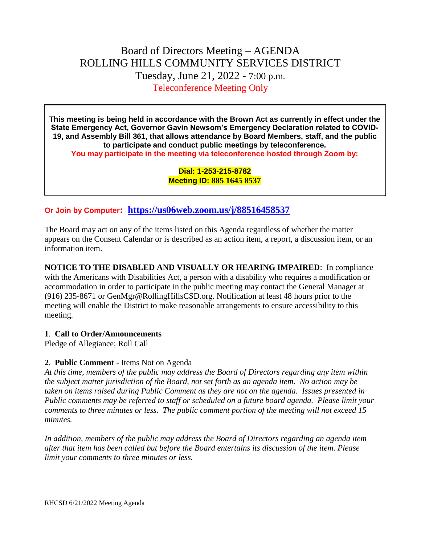# Board of Directors Meeting – AGENDA ROLLING HILLS COMMUNITY SERVICES DISTRICT Tuesday, June 21, 2022 - 7:00 p.m. Teleconference Meeting Only

**This meeting is being held in accordance with the Brown Act as currently in effect under the State Emergency Act, Governor Gavin Newsom's Emergency Declaration related to COVID-19, and Assembly Bill 361, that allows attendance by Board Members, staff, and the public to participate and conduct public meetings by teleconference. You may participate in the meeting via teleconference hosted through Zoom by:**

> **Dial: 1-253-215-8782 Meeting ID: 885 1645 8537**

## **Or Join by Computer: <https://us06web.zoom.us/j/88516458537>**

The Board may act on any of the items listed on this Agenda regardless of whether the matter appears on the Consent Calendar or is described as an action item, a report, a discussion item, or an information item.

**NOTICE TO THE DISABLED AND VISUALLY OR HEARING IMPAIRED**: In compliance with the Americans with Disabilities Act, a person with a disability who requires a modification or accommodation in order to participate in the public meeting may contact the General Manager at (916) 235-8671 or GenMgr@RollingHillsCSD.org. Notification at least 48 hours prior to the meeting will enable the District to make reasonable arrangements to ensure accessibility to this meeting.

#### **1**. **Call to Order/Announcements**

Pledge of Allegiance; Roll Call

### **2**. **Public Comment** - Items Not on Agenda

*At this time, members of the public may address the Board of Directors regarding any item within the subject matter jurisdiction of the Board, not set forth as an agenda item. No action may be taken on items raised during Public Comment as they are not on the agenda. Issues presented in Public comments may be referred to staff or scheduled on a future board agenda. Please limit your comments to three minutes or less. The public comment portion of the meeting will not exceed 15 minutes.*

*In addition, members of the public may address the Board of Directors regarding an agenda item after that item has been called but before the Board entertains its discussion of the item. Please limit your comments to three minutes or less.*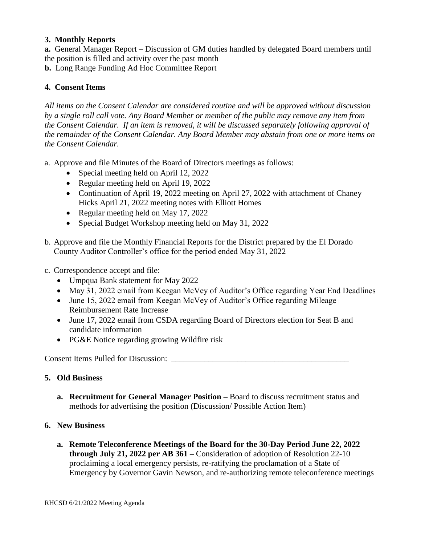### **3. Monthly Reports**

**a.** General Manager Report – Discussion of GM duties handled by delegated Board members until the position is filled and activity over the past month

**b.** Long Range Funding Ad Hoc Committee Report

### **4. Consent Items**

*All items on the Consent Calendar are considered routine and will be approved without discussion by a single roll call vote. Any Board Member or member of the public may remove any item from the Consent Calendar. If an item is removed, it will be discussed separately following approval of the remainder of the Consent Calendar. Any Board Member may abstain from one or more items on the Consent Calendar.*

- a. Approve and file Minutes of the Board of Directors meetings as follows:
	- Special meeting held on April 12, 2022
	- Regular meeting held on April 19, 2022
	- Continuation of April 19, 2022 meeting on April 27, 2022 with attachment of Chaney Hicks April 21, 2022 meeting notes with Elliott Homes
	- Regular meeting held on May 17, 2022
	- Special Budget Workshop meeting held on May 31, 2022
- b. Approve and file the Monthly Financial Reports for the District prepared by the El Dorado County Auditor Controller's office for the period ended May 31, 2022
- c. Correspondence accept and file:
	- Umpqua Bank statement for May 2022
	- May 31, 2022 email from Keegan McVey of Auditor's Office regarding Year End Deadlines
	- June 15, 2022 email from Keegan McVey of Auditor's Office regarding Mileage Reimbursement Rate Increase
	- June 17, 2022 email from CSDA regarding Board of Directors election for Seat B and candidate information
	- PG&E Notice regarding growing Wildfire risk

Consent Items Pulled for Discussion: \_\_\_\_\_\_\_\_\_\_\_\_\_\_\_\_\_\_\_\_\_\_\_\_\_\_\_\_\_\_\_\_\_\_\_\_\_\_\_\_\_\_\_

### **5. Old Business**

**a. Recruitment for General Manager Position –** Board to discuss recruitment status and methods for advertising the position (Discussion/ Possible Action Item)

### **6. New Business**

**a. Remote Teleconference Meetings of the Board for the 30-Day Period June 22, 2022 through July 21, 2022 per AB 361 –** Consideration of adoption of Resolution 22-10 proclaiming a local emergency persists, re-ratifying the proclamation of a State of Emergency by Governor Gavin Newson, and re-authorizing remote teleconference meetings